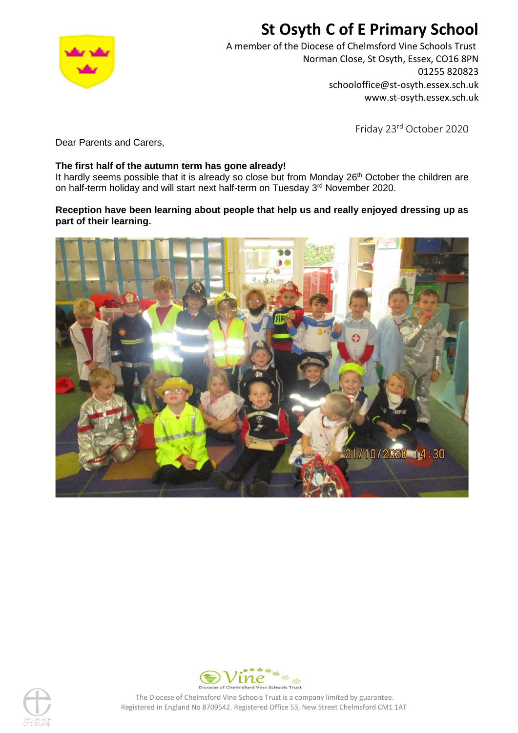# **St Osyth C of E Primary School**



A member of the Diocese of Chelmsford Vine Schools Trust Norman Close, St Osyth, Essex, CO16 8PN 01255 820823 schooloffice@st-osyth.essex.sch.uk www.st-osyth.essex.sch.uk

Friday 23rd October 2020

Dear Parents and Carers,

### **The first half of the autumn term has gone already!**

It hardly seems possible that it is already so close but from Monday 26<sup>th</sup> October the children are on half-term holiday and will start next half-term on Tuesday 3<sup>rd</sup> November 2020.

## **Reception have been learning about people that help us and really enjoyed dressing up as part of their learning.**







The Diocese of Chelmsford Vine Schools Trust is a company limited by guarantee. Registered in England No 8709542. Registered Office 53, New Street Chelmsford CM1 1AT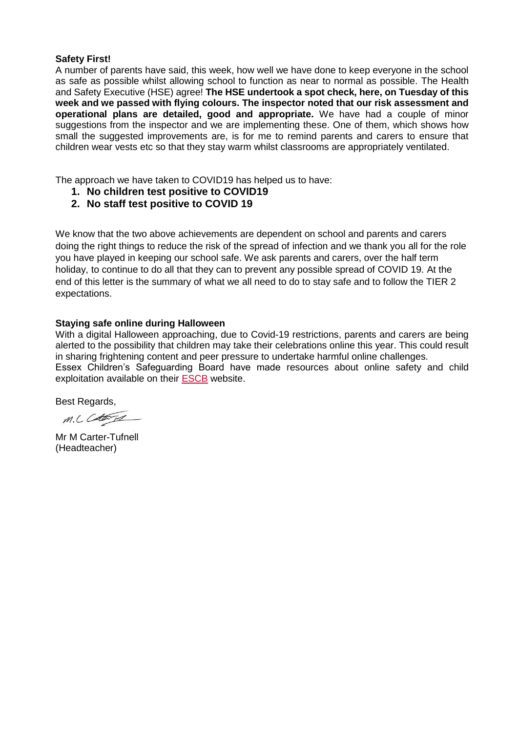#### **Safety First!**

A number of parents have said, this week, how well we have done to keep everyone in the school as safe as possible whilst allowing school to function as near to normal as possible. The Health and Safety Executive (HSE) agree! **The HSE undertook a spot check, here, on Tuesday of this week and we passed with flying colours. The inspector noted that our risk assessment and operational plans are detailed, good and appropriate.** We have had a couple of minor suggestions from the inspector and we are implementing these. One of them, which shows how small the suggested improvements are, is for me to remind parents and carers to ensure that children wear vests etc so that they stay warm whilst classrooms are appropriately ventilated.

The approach we have taken to COVID19 has helped us to have:

- **1. No children test positive to COVID19**
- **2. No staff test positive to COVID 19**

We know that the two above achievements are dependent on school and parents and carers doing the right things to reduce the risk of the spread of infection and we thank you all for the role you have played in keeping our school safe. We ask parents and carers, over the half term holiday, to continue to do all that they can to prevent any possible spread of COVID 19. At the end of this letter is the summary of what we all need to do to stay safe and to follow the TIER 2 expectations.

#### **Staying safe online during Halloween**

With a digital Halloween approaching, due to Covid-19 restrictions, parents and carers are being alerted to the possibility that children may take their celebrations online this year. This could result in sharing frightening content and peer pressure to undertake harmful online challenges. Essex Children's Safeguarding Board have made resources about online safety and child exploitation available on their [ESCB](https://lnks.gd/l/eyJhbGciOiJIUzI1NiJ9.eyJidWxsZXRpbl9saW5rX2lkIjoxMDAsInVyaSI6ImJwMjpjbGljayIsImJ1bGxldGluX2lkIjoiMjAyMDEwMjAuMjkwMTIxMDEiLCJ1cmwiOiJodHRwOi8vd3d3LmVzY2IuY28udWsvb25saW5lZXhwbG9pdGF0aW9uIn0.tzupYDgq2jxbJiQBxCw8mN8zDPSZtofoB-2wsHqn1Qk/s/500864888/br/87113107032-l) website.

Best Regards,

M.C. Cetans

Mr M Carter-Tufnell (Headteacher)